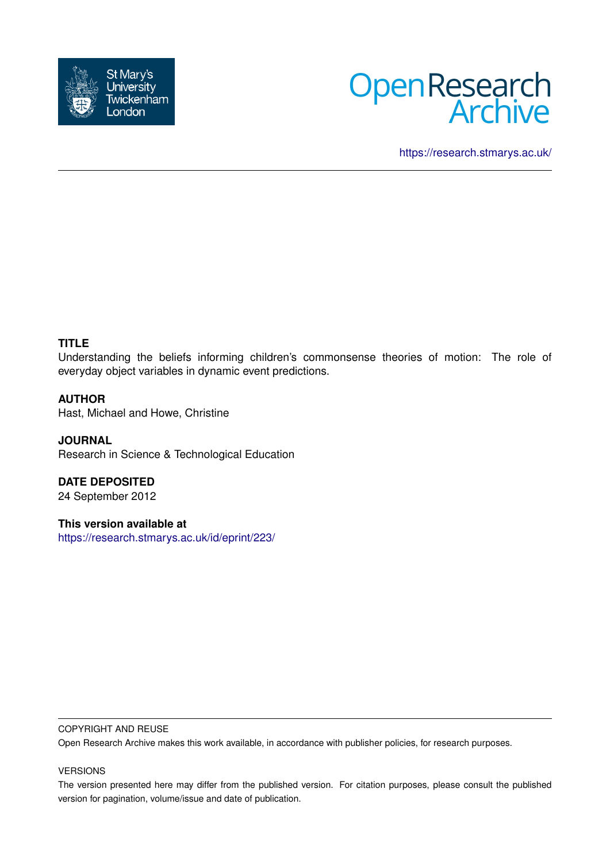



<https://research.stmarys.ac.uk/>

# **TITLE**

Understanding the beliefs informing children's commonsense theories of motion: The role of everyday object variables in dynamic event predictions.

# **AUTHOR**

Hast, Michael and Howe, Christine

**JOURNAL** Research in Science & Technological Education

**DATE DEPOSITED** 24 September 2012

**This version available at** <https://research.stmarys.ac.uk/id/eprint/223/>

#### COPYRIGHT AND REUSE

Open Research Archive makes this work available, in accordance with publisher policies, for research purposes.

#### VERSIONS

The version presented here may differ from the published version. For citation purposes, please consult the published version for pagination, volume/issue and date of publication.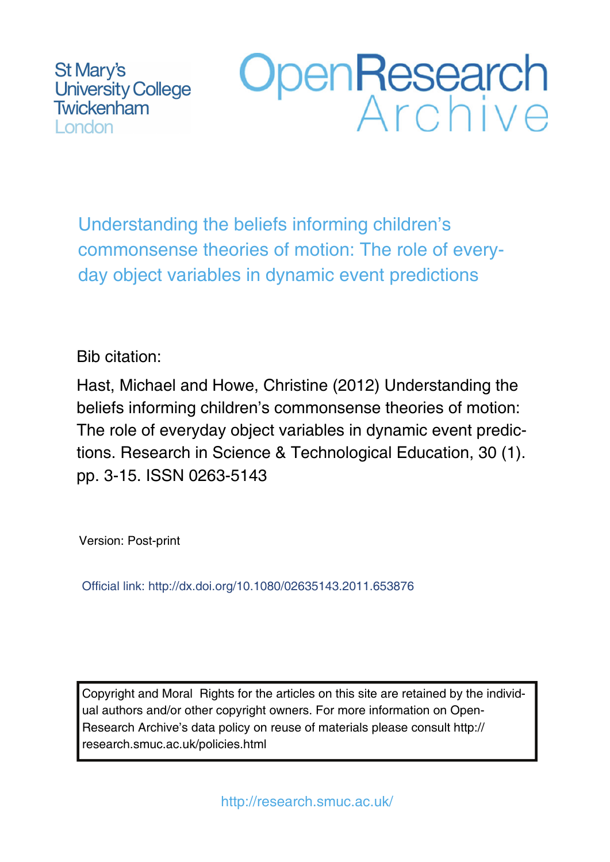St Mary's **University College** Twickenham London

# OpenResearch

Understanding the beliefs informing children's commonsense theories of motion: The role of everyday object variables in dynamic event predictions

# Bib citation:

Hast, Michael and Howe, Christine (2012) Understanding the beliefs informing children's commonsense theories of motion: The role of everyday object variables in dynamic event predictions. Research in Science & Technological Education, 30 (1). pp. 3-15. ISSN 0263-5143

Version: Post-print

Official link: http://dx.doi.org/10.1080/02635143.2011.653876

Copyright and Moral Rights for the articles on this site are retained by the individual authors and/or other copyright owners. For more information on Open-Research Archive's data policy on reuse of materials please consult http:// research.smuc.ac.uk/policies.html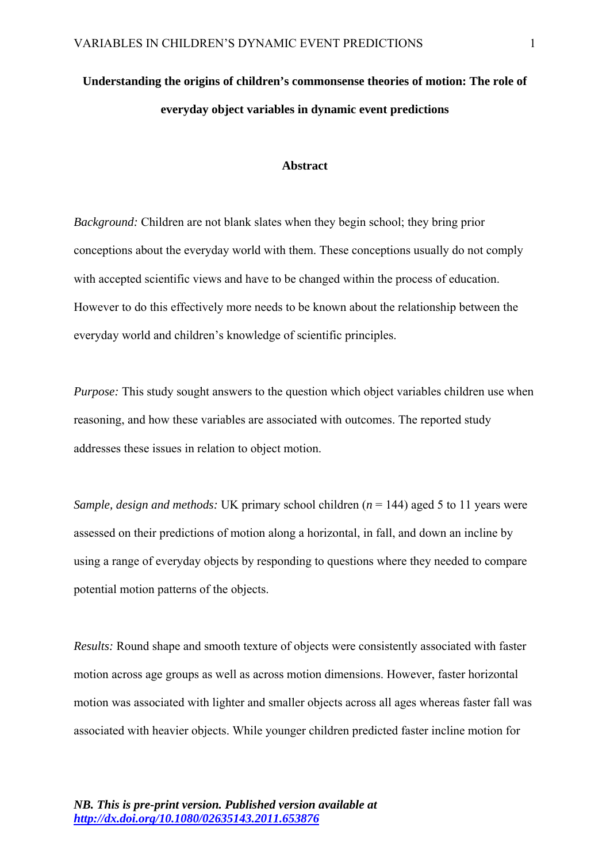# **Understanding the origins of children's commonsense theories of motion: The role of everyday object variables in dynamic event predictions**

# **Abstract**

*Background:* Children are not blank slates when they begin school; they bring prior conceptions about the everyday world with them. These conceptions usually do not comply with accepted scientific views and have to be changed within the process of education. However to do this effectively more needs to be known about the relationship between the everyday world and children's knowledge of scientific principles.

*Purpose:* This study sought answers to the question which object variables children use when reasoning, and how these variables are associated with outcomes. The reported study addresses these issues in relation to object motion.

*Sample, design and methods:* UK primary school children (*n* = 144) aged 5 to 11 years were assessed on their predictions of motion along a horizontal, in fall, and down an incline by using a range of everyday objects by responding to questions where they needed to compare potential motion patterns of the objects.

*Results:* Round shape and smooth texture of objects were consistently associated with faster motion across age groups as well as across motion dimensions. However, faster horizontal motion was associated with lighter and smaller objects across all ages whereas faster fall was associated with heavier objects. While younger children predicted faster incline motion for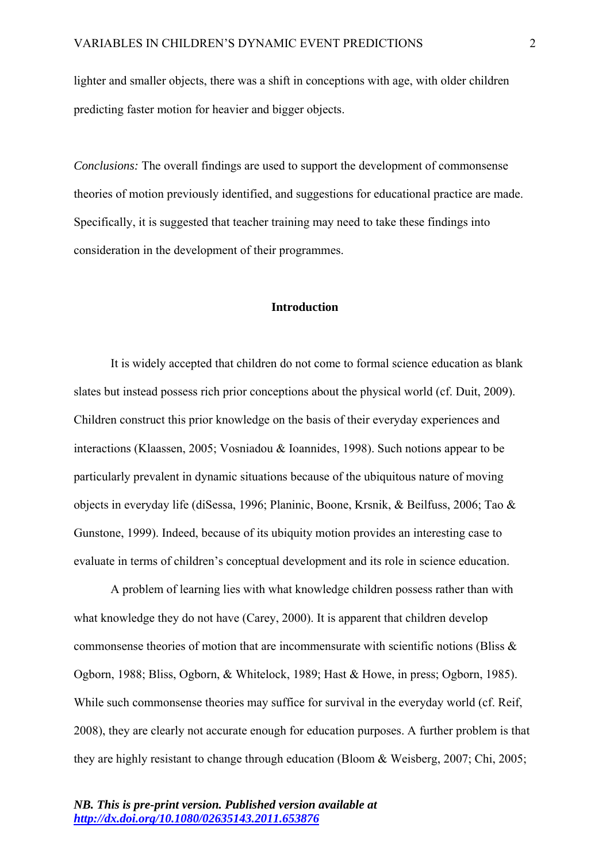lighter and smaller objects, there was a shift in conceptions with age, with older children predicting faster motion for heavier and bigger objects.

*Conclusions:* The overall findings are used to support the development of commonsense theories of motion previously identified, and suggestions for educational practice are made. Specifically, it is suggested that teacher training may need to take these findings into consideration in the development of their programmes.

#### **Introduction**

It is widely accepted that children do not come to formal science education as blank slates but instead possess rich prior conceptions about the physical world (cf. Duit, 2009). Children construct this prior knowledge on the basis of their everyday experiences and interactions (Klaassen, 2005; Vosniadou & Ioannides, 1998). Such notions appear to be particularly prevalent in dynamic situations because of the ubiquitous nature of moving objects in everyday life (diSessa, 1996; Planinic, Boone, Krsnik, & Beilfuss, 2006; Tao & Gunstone, 1999). Indeed, because of its ubiquity motion provides an interesting case to evaluate in terms of children's conceptual development and its role in science education.

A problem of learning lies with what knowledge children possess rather than with what knowledge they do not have (Carey, 2000). It is apparent that children develop commonsense theories of motion that are incommensurate with scientific notions (Bliss & Ogborn, 1988; Bliss, Ogborn, & Whitelock, 1989; Hast & Howe, in press; Ogborn, 1985). While such commonsense theories may suffice for survival in the everyday world (cf. Reif, 2008), they are clearly not accurate enough for education purposes. A further problem is that they are highly resistant to change through education (Bloom & Weisberg, 2007; Chi, 2005;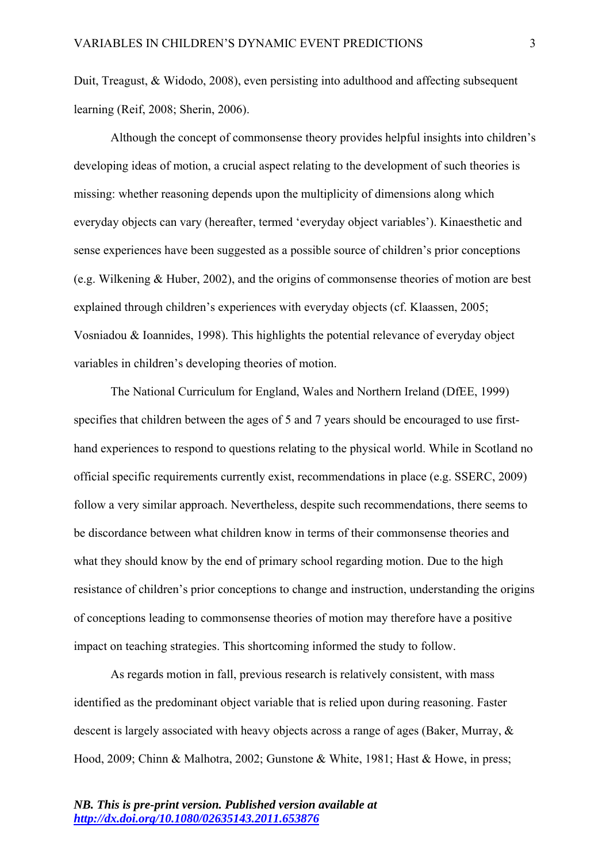Duit, Treagust, & Widodo, 2008), even persisting into adulthood and affecting subsequent learning (Reif, 2008; Sherin, 2006).

Although the concept of commonsense theory provides helpful insights into children's developing ideas of motion, a crucial aspect relating to the development of such theories is missing: whether reasoning depends upon the multiplicity of dimensions along which everyday objects can vary (hereafter, termed 'everyday object variables'). Kinaesthetic and sense experiences have been suggested as a possible source of children's prior conceptions (e.g. Wilkening & Huber, 2002), and the origins of commonsense theories of motion are best explained through children's experiences with everyday objects (cf. Klaassen, 2005; Vosniadou & Ioannides, 1998). This highlights the potential relevance of everyday object variables in children's developing theories of motion.

The National Curriculum for England, Wales and Northern Ireland (DfEE, 1999) specifies that children between the ages of 5 and 7 years should be encouraged to use firsthand experiences to respond to questions relating to the physical world. While in Scotland no official specific requirements currently exist, recommendations in place (e.g. SSERC, 2009) follow a very similar approach. Nevertheless, despite such recommendations, there seems to be discordance between what children know in terms of their commonsense theories and what they should know by the end of primary school regarding motion. Due to the high resistance of children's prior conceptions to change and instruction, understanding the origins of conceptions leading to commonsense theories of motion may therefore have a positive impact on teaching strategies. This shortcoming informed the study to follow.

As regards motion in fall, previous research is relatively consistent, with mass identified as the predominant object variable that is relied upon during reasoning. Faster descent is largely associated with heavy objects across a range of ages (Baker, Murray, & Hood, 2009; Chinn & Malhotra, 2002; Gunstone & White, 1981; Hast & Howe, in press;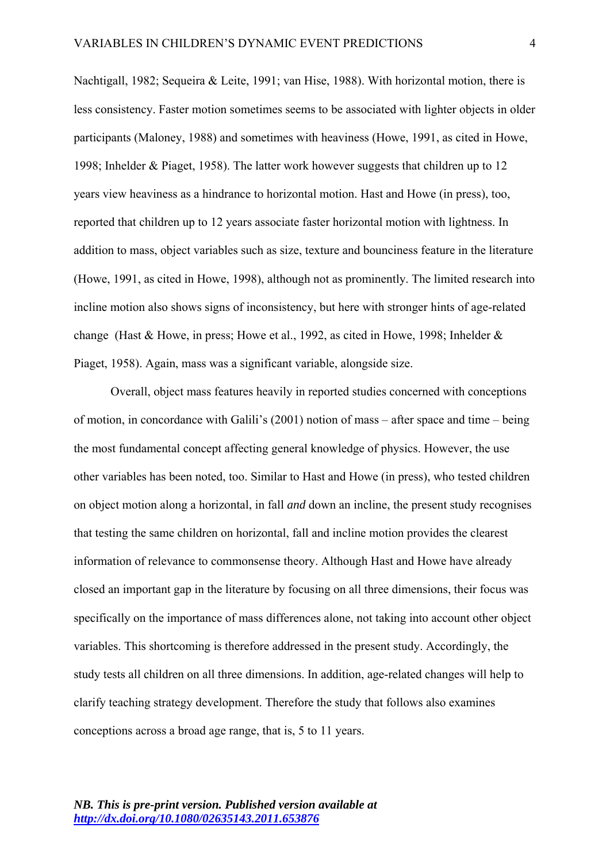Nachtigall, 1982; Sequeira & Leite, 1991; van Hise, 1988). With horizontal motion, there is less consistency. Faster motion sometimes seems to be associated with lighter objects in older participants (Maloney, 1988) and sometimes with heaviness (Howe, 1991, as cited in Howe, 1998; Inhelder & Piaget, 1958). The latter work however suggests that children up to 12 years view heaviness as a hindrance to horizontal motion. Hast and Howe (in press), too, reported that children up to 12 years associate faster horizontal motion with lightness. In addition to mass, object variables such as size, texture and bounciness feature in the literature (Howe, 1991, as cited in Howe, 1998), although not as prominently. The limited research into incline motion also shows signs of inconsistency, but here with stronger hints of age-related change (Hast & Howe, in press; Howe et al., 1992, as cited in Howe, 1998; Inhelder & Piaget, 1958). Again, mass was a significant variable, alongside size.

Overall, object mass features heavily in reported studies concerned with conceptions of motion, in concordance with Galili's (2001) notion of mass – after space and time – being the most fundamental concept affecting general knowledge of physics. However, the use other variables has been noted, too. Similar to Hast and Howe (in press), who tested children on object motion along a horizontal, in fall *and* down an incline, the present study recognises that testing the same children on horizontal, fall and incline motion provides the clearest information of relevance to commonsense theory. Although Hast and Howe have already closed an important gap in the literature by focusing on all three dimensions, their focus was specifically on the importance of mass differences alone, not taking into account other object variables. This shortcoming is therefore addressed in the present study. Accordingly, the study tests all children on all three dimensions. In addition, age-related changes will help to clarify teaching strategy development. Therefore the study that follows also examines conceptions across a broad age range, that is, 5 to 11 years.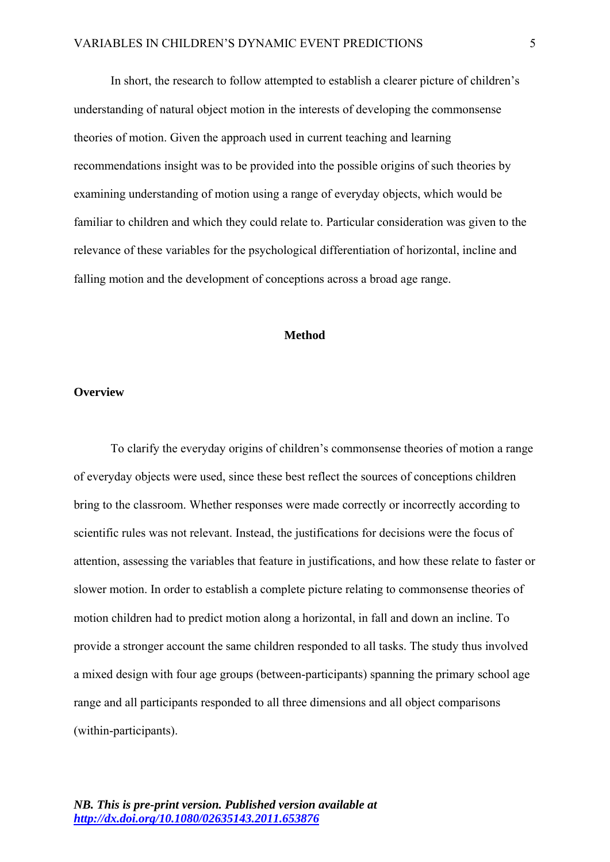In short, the research to follow attempted to establish a clearer picture of children's understanding of natural object motion in the interests of developing the commonsense theories of motion. Given the approach used in current teaching and learning recommendations insight was to be provided into the possible origins of such theories by examining understanding of motion using a range of everyday objects, which would be familiar to children and which they could relate to. Particular consideration was given to the relevance of these variables for the psychological differentiation of horizontal, incline and falling motion and the development of conceptions across a broad age range.

# **Method**

# **Overview**

To clarify the everyday origins of children's commonsense theories of motion a range of everyday objects were used, since these best reflect the sources of conceptions children bring to the classroom. Whether responses were made correctly or incorrectly according to scientific rules was not relevant. Instead, the justifications for decisions were the focus of attention, assessing the variables that feature in justifications, and how these relate to faster or slower motion. In order to establish a complete picture relating to commonsense theories of motion children had to predict motion along a horizontal, in fall and down an incline. To provide a stronger account the same children responded to all tasks. The study thus involved a mixed design with four age groups (between-participants) spanning the primary school age range and all participants responded to all three dimensions and all object comparisons (within-participants).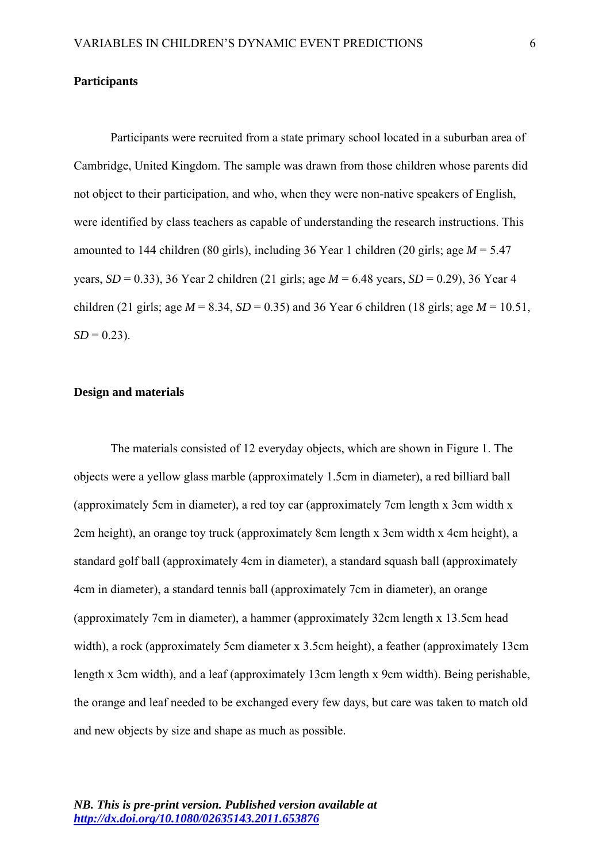#### **Participants**

Participants were recruited from a state primary school located in a suburban area of Cambridge, United Kingdom. The sample was drawn from those children whose parents did not object to their participation, and who, when they were non-native speakers of English, were identified by class teachers as capable of understanding the research instructions. This amounted to 144 children (80 girls), including 36 Year 1 children (20 girls; age *M* = 5.47 years, *SD* = 0.33), 36 Year 2 children (21 girls; age *M* = 6.48 years, *SD* = 0.29), 36 Year 4 children (21 girls; age  $M = 8.34$ ,  $SD = 0.35$ ) and 36 Year 6 children (18 girls; age  $M = 10.51$ ,  $SD = 0.23$ .

# **Design and materials**

The materials consisted of 12 everyday objects, which are shown in Figure 1. The objects were a yellow glass marble (approximately 1.5cm in diameter), a red billiard ball (approximately 5cm in diameter), a red toy car (approximately 7cm length x 3cm width x 2cm height), an orange toy truck (approximately 8cm length x 3cm width x 4cm height), a standard golf ball (approximately 4cm in diameter), a standard squash ball (approximately 4cm in diameter), a standard tennis ball (approximately 7cm in diameter), an orange (approximately 7cm in diameter), a hammer (approximately 32cm length x 13.5cm head width), a rock (approximately 5cm diameter x 3.5cm height), a feather (approximately 13cm length x 3cm width), and a leaf (approximately 13cm length x 9cm width). Being perishable, the orange and leaf needed to be exchanged every few days, but care was taken to match old and new objects by size and shape as much as possible.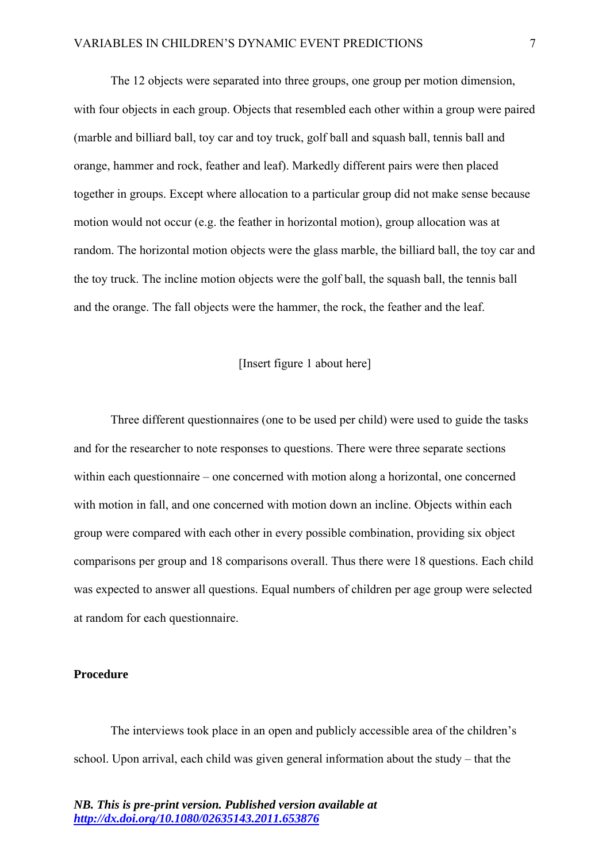The 12 objects were separated into three groups, one group per motion dimension, with four objects in each group. Objects that resembled each other within a group were paired (marble and billiard ball, toy car and toy truck, golf ball and squash ball, tennis ball and orange, hammer and rock, feather and leaf). Markedly different pairs were then placed together in groups. Except where allocation to a particular group did not make sense because motion would not occur (e.g. the feather in horizontal motion), group allocation was at random. The horizontal motion objects were the glass marble, the billiard ball, the toy car and the toy truck. The incline motion objects were the golf ball, the squash ball, the tennis ball and the orange. The fall objects were the hammer, the rock, the feather and the leaf.

# [Insert figure 1 about here]

Three different questionnaires (one to be used per child) were used to guide the tasks and for the researcher to note responses to questions. There were three separate sections within each questionnaire – one concerned with motion along a horizontal, one concerned with motion in fall, and one concerned with motion down an incline. Objects within each group were compared with each other in every possible combination, providing six object comparisons per group and 18 comparisons overall. Thus there were 18 questions. Each child was expected to answer all questions. Equal numbers of children per age group were selected at random for each questionnaire.

## **Procedure**

The interviews took place in an open and publicly accessible area of the children's school. Upon arrival, each child was given general information about the study – that the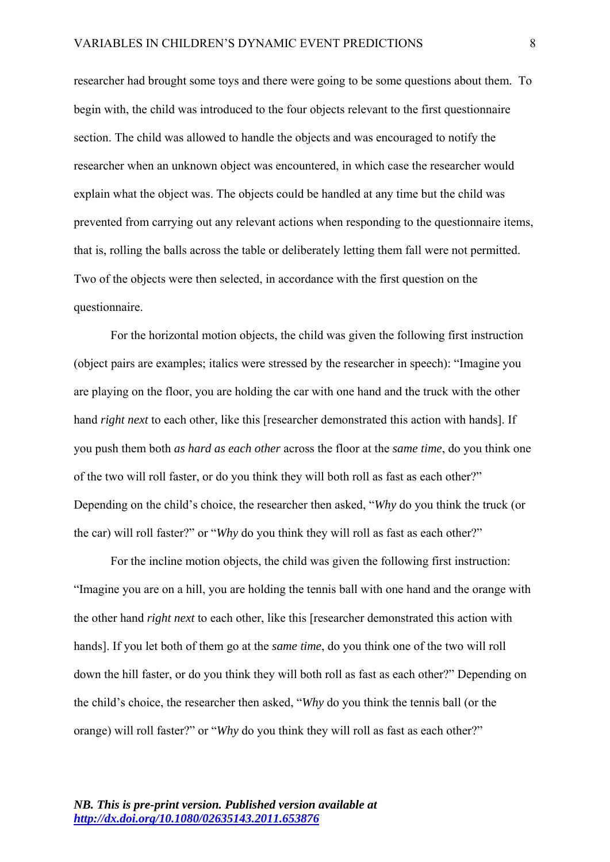researcher had brought some toys and there were going to be some questions about them. To begin with, the child was introduced to the four objects relevant to the first questionnaire section. The child was allowed to handle the objects and was encouraged to notify the researcher when an unknown object was encountered, in which case the researcher would explain what the object was. The objects could be handled at any time but the child was prevented from carrying out any relevant actions when responding to the questionnaire items, that is, rolling the balls across the table or deliberately letting them fall were not permitted. Two of the objects were then selected, in accordance with the first question on the questionnaire.

For the horizontal motion objects, the child was given the following first instruction (object pairs are examples; italics were stressed by the researcher in speech): "Imagine you are playing on the floor, you are holding the car with one hand and the truck with the other hand *right next* to each other, like this [researcher demonstrated this action with hands]. If you push them both *as hard as each other* across the floor at the *same time*, do you think one of the two will roll faster, or do you think they will both roll as fast as each other?" Depending on the child's choice, the researcher then asked, "*Why* do you think the truck (or the car) will roll faster?" or "*Why* do you think they will roll as fast as each other?"

For the incline motion objects, the child was given the following first instruction: "Imagine you are on a hill, you are holding the tennis ball with one hand and the orange with the other hand *right next* to each other, like this [researcher demonstrated this action with hands]. If you let both of them go at the *same time*, do you think one of the two will roll down the hill faster, or do you think they will both roll as fast as each other?" Depending on the child's choice, the researcher then asked, "*Why* do you think the tennis ball (or the orange) will roll faster?" or "*Why* do you think they will roll as fast as each other?"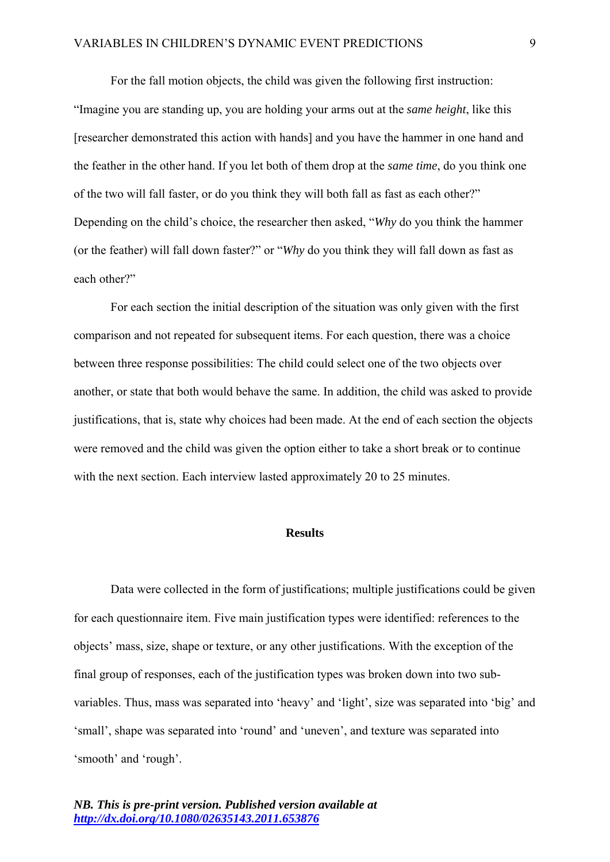For the fall motion objects, the child was given the following first instruction: "Imagine you are standing up, you are holding your arms out at the *same height*, like this [researcher demonstrated this action with hands] and you have the hammer in one hand and the feather in the other hand. If you let both of them drop at the *same time*, do you think one of the two will fall faster, or do you think they will both fall as fast as each other?" Depending on the child's choice, the researcher then asked, "*Why* do you think the hammer (or the feather) will fall down faster?" or "*Why* do you think they will fall down as fast as each other?"

For each section the initial description of the situation was only given with the first comparison and not repeated for subsequent items. For each question, there was a choice between three response possibilities: The child could select one of the two objects over another, or state that both would behave the same. In addition, the child was asked to provide justifications, that is, state why choices had been made. At the end of each section the objects were removed and the child was given the option either to take a short break or to continue with the next section. Each interview lasted approximately 20 to 25 minutes.

# **Results**

Data were collected in the form of justifications; multiple justifications could be given for each questionnaire item. Five main justification types were identified: references to the objects' mass, size, shape or texture, or any other justifications. With the exception of the final group of responses, each of the justification types was broken down into two subvariables. Thus, mass was separated into 'heavy' and 'light', size was separated into 'big' and 'small', shape was separated into 'round' and 'uneven', and texture was separated into 'smooth' and 'rough'.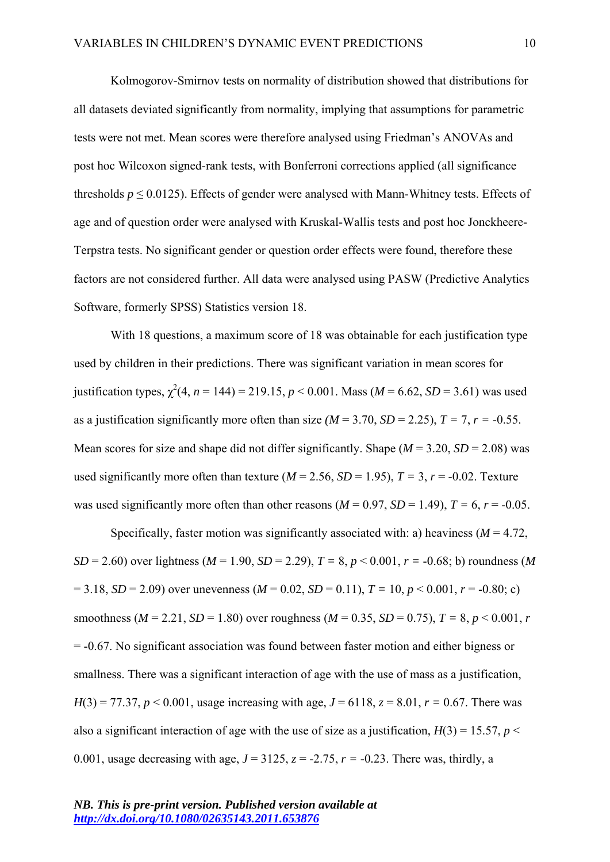Kolmogorov-Smirnov tests on normality of distribution showed that distributions for all datasets deviated significantly from normality, implying that assumptions for parametric tests were not met. Mean scores were therefore analysed using Friedman's ANOVAs and post hoc Wilcoxon signed-rank tests, with Bonferroni corrections applied (all significance thresholds  $p \le 0.0125$ ). Effects of gender were analysed with Mann-Whitney tests. Effects of age and of question order were analysed with Kruskal-Wallis tests and post hoc Jonckheere-Terpstra tests. No significant gender or question order effects were found, therefore these factors are not considered further. All data were analysed using PASW (Predictive Analytics Software, formerly SPSS) Statistics version 18.

With 18 questions, a maximum score of 18 was obtainable for each justification type used by children in their predictions. There was significant variation in mean scores for justification types,  $\chi^2(4, n = 144) = 219.15, p < 0.001$ . Mass ( $M = 6.62$ ,  $SD = 3.61$ ) was used as a justification significantly more often than size  $(M = 3.70, SD = 2.25)$ ,  $T = 7$ ,  $r = -0.55$ . Mean scores for size and shape did not differ significantly. Shape  $(M = 3.20, SD = 2.08)$  was used significantly more often than texture  $(M = 2.56, SD = 1.95)$ ,  $T = 3$ ,  $r = -0.02$ . Texture was used significantly more often than other reasons  $(M = 0.97, SD = 1.49)$ ,  $T = 6$ ,  $r = -0.05$ .

Specifically, faster motion was significantly associated with: a) heaviness  $(M = 4.72)$ , *SD* = 2.60) over lightness ( $M = 1.90$ ,  $SD = 2.29$ ),  $T = 8$ ,  $p < 0.001$ ,  $r = -0.68$ ; b) roundness ( $M$  $= 3.18$ , *SD* = 2.09) over unevenness (*M* = 0.02, *SD* = 0.11), *T* = 10, *p* < 0.001, *r* = -0.80; c) smoothness ( $M = 2.21$ ,  $SD = 1.80$ ) over roughness ( $M = 0.35$ ,  $SD = 0.75$ ),  $T = 8$ ,  $p < 0.001$ , *r* = -0.67. No significant association was found between faster motion and either bigness or smallness. There was a significant interaction of age with the use of mass as a justification, *H*(3) = 77.37, *p* < 0.001, usage increasing with age,  $J = 6118$ ,  $z = 8.01$ ,  $r = 0.67$ . There was also a significant interaction of age with the use of size as a justification,  $H(3) = 15.57$ ,  $p <$ 0.001, usage decreasing with age,  $J = 3125$ ,  $z = -2.75$ ,  $r = -0.23$ . There was, thirdly, a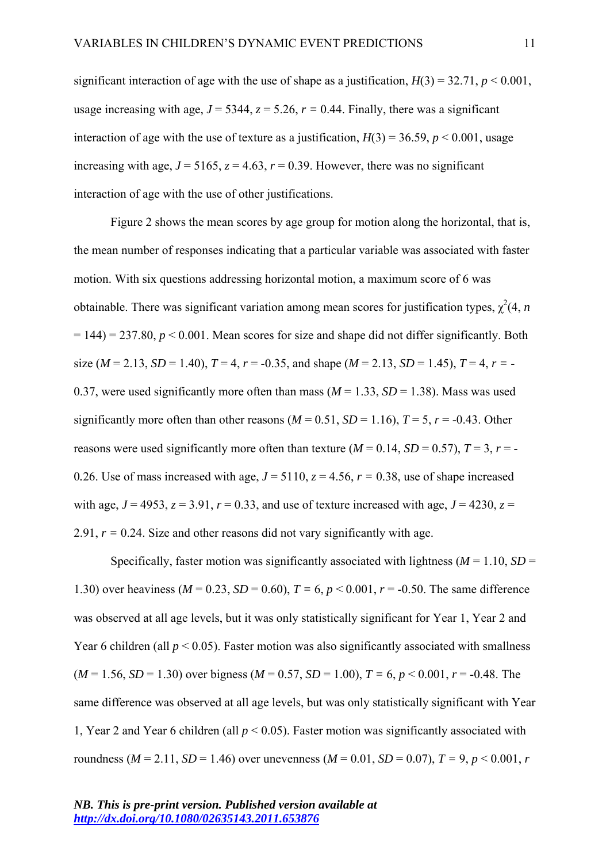significant interaction of age with the use of shape as a justification,  $H(3) = 32.71$ ,  $p < 0.001$ , usage increasing with age,  $J = 5344$ ,  $z = 5.26$ ,  $r = 0.44$ . Finally, there was a significant interaction of age with the use of texture as a justification,  $H(3) = 36.59$ ,  $p < 0.001$ , usage increasing with age,  $J = 5165$ ,  $z = 4.63$ ,  $r = 0.39$ . However, there was no significant interaction of age with the use of other justifications.

Figure 2 shows the mean scores by age group for motion along the horizontal, that is, the mean number of responses indicating that a particular variable was associated with faster motion. With six questions addressing horizontal motion, a maximum score of 6 was obtainable. There was significant variation among mean scores for justification types,  $\chi^2(4, n)$  $= 144$ )  $= 237.80$ ,  $p < 0.001$ . Mean scores for size and shape did not differ significantly. Both size ( $M = 2.13$ ,  $SD = 1.40$ ),  $T = 4$ ,  $r = -0.35$ , and shape ( $M = 2.13$ ,  $SD = 1.45$ ),  $T = 4$ ,  $r = -$ 0.37, were used significantly more often than mass  $(M = 1.33, SD = 1.38)$ . Mass was used significantly more often than other reasons ( $M = 0.51$ ,  $SD = 1.16$ ),  $T = 5$ ,  $r = -0.43$ . Other reasons were used significantly more often than texture  $(M = 0.14, SD = 0.57)$ ,  $T = 3$ ,  $r = -$ 0.26. Use of mass increased with age,  $J = 5110$ ,  $z = 4.56$ ,  $r = 0.38$ , use of shape increased with age,  $J = 4953$ ,  $z = 3.91$ ,  $r = 0.33$ , and use of texture increased with age,  $J = 4230$ ,  $z =$ 2.91,  $r = 0.24$ . Size and other reasons did not vary significantly with age.

Specifically, faster motion was significantly associated with lightness ( $M = 1.10$ ,  $SD =$ 1.30) over heaviness ( $M = 0.23$ ,  $SD = 0.60$ ),  $T = 6$ ,  $p < 0.001$ ,  $r = -0.50$ . The same difference was observed at all age levels, but it was only statistically significant for Year 1, Year 2 and Year 6 children (all  $p < 0.05$ ). Faster motion was also significantly associated with smallness  $(M = 1.56, SD = 1.30)$  over bigness  $(M = 0.57, SD = 1.00)$ ,  $T = 6, p < 0.001$ ,  $r = -0.48$ . The same difference was observed at all age levels, but was only statistically significant with Year 1, Year 2 and Year 6 children (all *p* < 0.05). Faster motion was significantly associated with roundness ( $M = 2.11$ ,  $SD = 1.46$ ) over unevenness ( $M = 0.01$ ,  $SD = 0.07$ ),  $T = 9$ ,  $p < 0.001$ ,  $r = 0.001$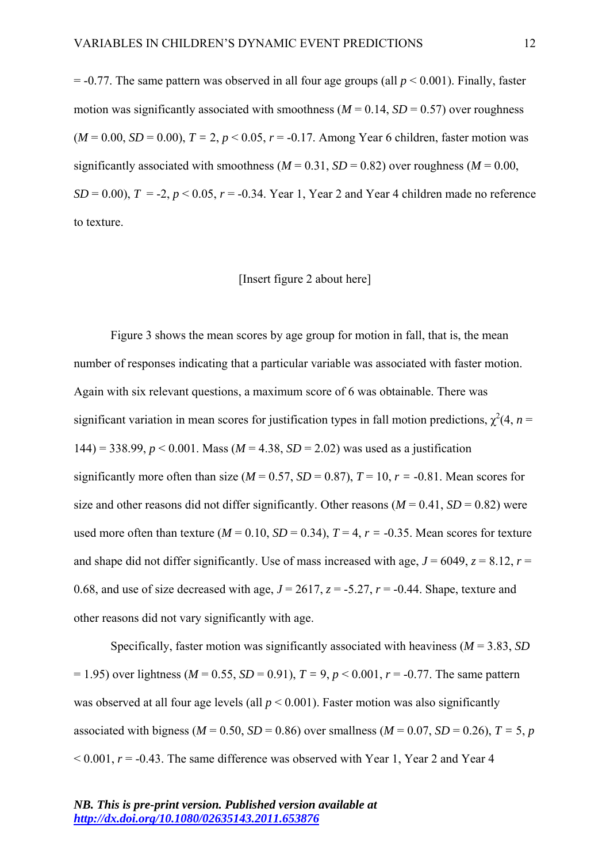$=$  -0.77. The same pattern was observed in all four age groups (all  $p \le 0.001$ ). Finally, faster motion was significantly associated with smoothness ( $M = 0.14$ ,  $SD = 0.57$ ) over roughness  $(M = 0.00, SD = 0.00), T = 2, p < 0.05, r = -0.17$ . Among Year 6 children, faster motion was significantly associated with smoothness ( $M = 0.31$ ,  $SD = 0.82$ ) over roughness ( $M = 0.00$ ,  $SD = 0.00$ ,  $T = -2$ ,  $p < 0.05$ ,  $r = -0.34$ . Year 1, Year 2 and Year 4 children made no reference to texture.

# [Insert figure 2 about here]

Figure 3 shows the mean scores by age group for motion in fall, that is, the mean number of responses indicating that a particular variable was associated with faster motion. Again with six relevant questions, a maximum score of 6 was obtainable. There was significant variation in mean scores for justification types in fall motion predictions,  $\chi^2(4, n =$ 144) = 338.99, *p* < 0.001. Mass (*M* = 4.38, *SD* = 2.02) was used as a justification significantly more often than size ( $M = 0.57$ ,  $SD = 0.87$ ),  $T = 10$ ,  $r = -0.81$ . Mean scores for size and other reasons did not differ significantly. Other reasons  $(M = 0.41, SD = 0.82)$  were used more often than texture  $(M = 0.10, SD = 0.34)$ ,  $T = 4$ ,  $r = -0.35$ . Mean scores for texture and shape did not differ significantly. Use of mass increased with age,  $J = 6049$ ,  $z = 8.12$ ,  $r =$ 0.68, and use of size decreased with age,  $J = 2617$ ,  $z = -5.27$ ,  $r = -0.44$ . Shape, texture and other reasons did not vary significantly with age.

Specifically, faster motion was significantly associated with heaviness (*M* = 3.83, *SD*  $= 1.95$ ) over lightness (*M* = 0.55, *SD* = 0.91), *T* = 9, *p* < 0.001, *r* = -0.77. The same pattern was observed at all four age levels (all  $p < 0.001$ ). Faster motion was also significantly associated with bigness ( $M = 0.50$ ,  $SD = 0.86$ ) over smallness ( $M = 0.07$ ,  $SD = 0.26$ ),  $T = 5$ , *p*  $\leq 0.001$ ,  $r = -0.43$ . The same difference was observed with Year 1, Year 2 and Year 4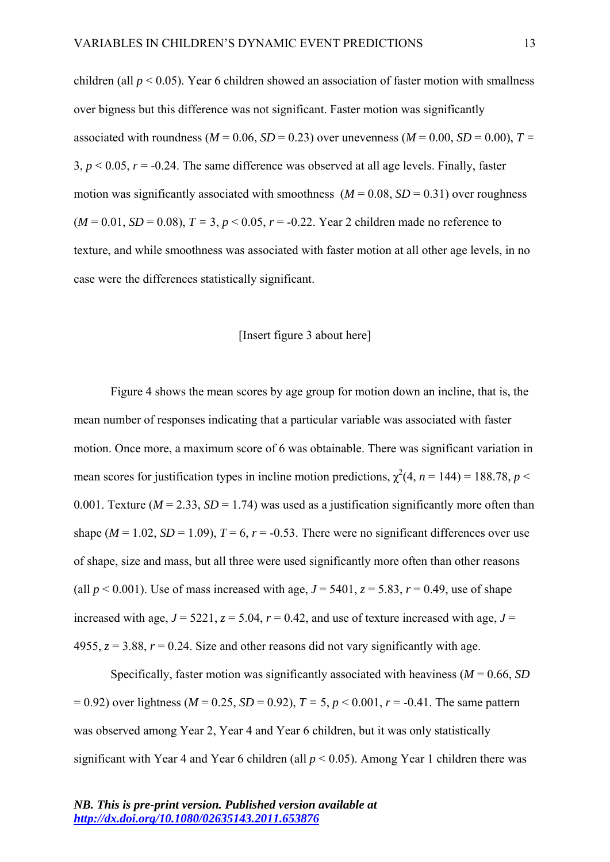children (all  $p < 0.05$ ). Year 6 children showed an association of faster motion with smallness over bigness but this difference was not significant. Faster motion was significantly associated with roundness ( $M = 0.06$ ,  $SD = 0.23$ ) over unevenness ( $M = 0.00$ ,  $SD = 0.00$ ),  $T =$ 3,  $p < 0.05$ ,  $r = -0.24$ . The same difference was observed at all age levels. Finally, faster motion was significantly associated with smoothness  $(M = 0.08, SD = 0.31)$  over roughness  $(M = 0.01, SD = 0.08), T = 3, p < 0.05, r = -0.22$ . Year 2 children made no reference to texture, and while smoothness was associated with faster motion at all other age levels, in no case were the differences statistically significant.

# [Insert figure 3 about here]

Figure 4 shows the mean scores by age group for motion down an incline, that is, the mean number of responses indicating that a particular variable was associated with faster motion. Once more, a maximum score of 6 was obtainable. There was significant variation in mean scores for justification types in incline motion predictions,  $\chi^2(4, n = 144) = 188.78$ ,  $p <$ 0.001. Texture ( $M = 2.33$ ,  $SD = 1.74$ ) was used as a justification significantly more often than shape ( $M = 1.02$ ,  $SD = 1.09$ ),  $T = 6$ ,  $r = -0.53$ . There were no significant differences over use of shape, size and mass, but all three were used significantly more often than other reasons (all  $p < 0.001$ ). Use of mass increased with age,  $J = 5401$ ,  $z = 5.83$ ,  $r = 0.49$ , use of shape increased with age,  $J = 5221$ ,  $z = 5.04$ ,  $r = 0.42$ , and use of texture increased with age,  $J =$ 4955,  $z = 3.88$ ,  $r = 0.24$ . Size and other reasons did not vary significantly with age.

Specifically, faster motion was significantly associated with heaviness (*M* = 0.66, *SD*  $(7.92)$  over lightness ( $M = 0.25$ ,  $SD = 0.92$ ),  $T = 5$ ,  $p < 0.001$ ,  $r = -0.41$ . The same pattern was observed among Year 2, Year 4 and Year 6 children, but it was only statistically significant with Year 4 and Year 6 children (all  $p < 0.05$ ). Among Year 1 children there was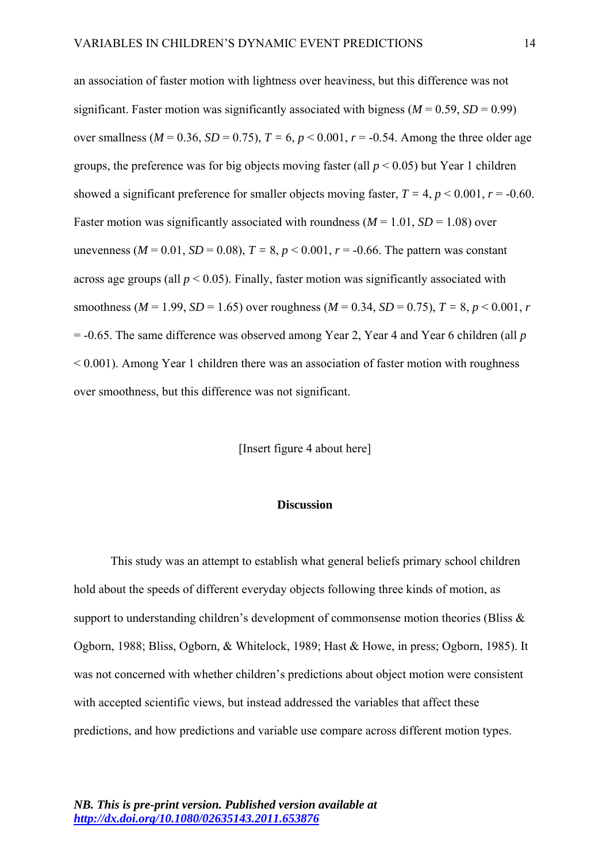an association of faster motion with lightness over heaviness, but this difference was not significant. Faster motion was significantly associated with bigness  $(M = 0.59, SD = 0.99)$ over smallness ( $M = 0.36$ ,  $SD = 0.75$ ),  $T = 6$ ,  $p < 0.001$ ,  $r = -0.54$ . Among the three older age groups, the preference was for big objects moving faster (all  $p < 0.05$ ) but Year 1 children showed a significant preference for smaller objects moving faster,  $T = 4$ ,  $p < 0.001$ ,  $r = -0.60$ . Faster motion was significantly associated with roundness  $(M = 1.01, SD = 1.08)$  over unevenness ( $M = 0.01$ ,  $SD = 0.08$ ),  $T = 8$ ,  $p < 0.001$ ,  $r = -0.66$ . The pattern was constant across age groups (all  $p < 0.05$ ). Finally, faster motion was significantly associated with smoothness ( $M = 1.99$ ,  $SD = 1.65$ ) over roughness ( $M = 0.34$ ,  $SD = 0.75$ ),  $T = 8$ ,  $p < 0.001$ , r = -0.65. The same difference was observed among Year 2, Year 4 and Year 6 children (all *p* < 0.001). Among Year 1 children there was an association of faster motion with roughness over smoothness, but this difference was not significant.

[Insert figure 4 about here]

# **Discussion**

This study was an attempt to establish what general beliefs primary school children hold about the speeds of different everyday objects following three kinds of motion, as support to understanding children's development of commonsense motion theories (Bliss  $\&$ Ogborn, 1988; Bliss, Ogborn, & Whitelock, 1989; Hast & Howe, in press; Ogborn, 1985). It was not concerned with whether children's predictions about object motion were consistent with accepted scientific views, but instead addressed the variables that affect these predictions, and how predictions and variable use compare across different motion types.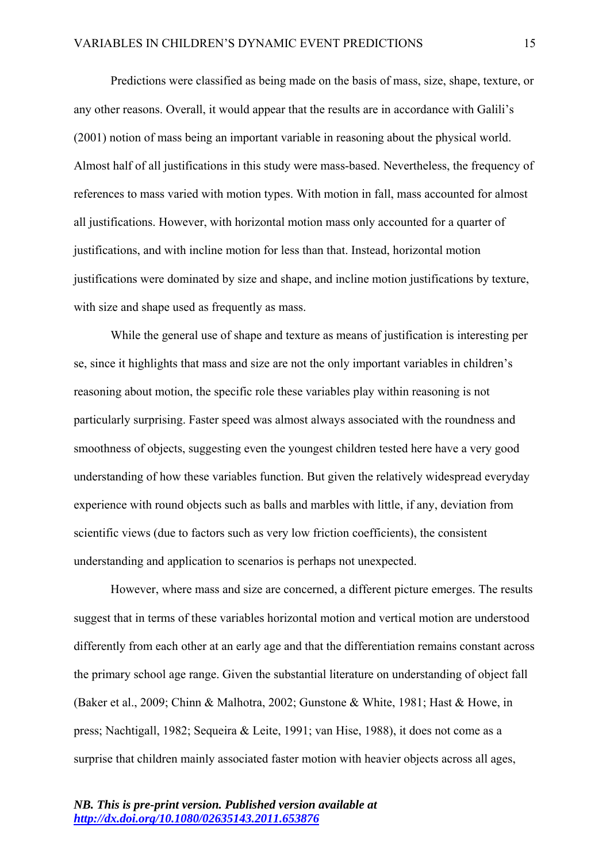Predictions were classified as being made on the basis of mass, size, shape, texture, or any other reasons. Overall, it would appear that the results are in accordance with Galili's (2001) notion of mass being an important variable in reasoning about the physical world. Almost half of all justifications in this study were mass-based. Nevertheless, the frequency of references to mass varied with motion types. With motion in fall, mass accounted for almost all justifications. However, with horizontal motion mass only accounted for a quarter of justifications, and with incline motion for less than that. Instead, horizontal motion justifications were dominated by size and shape, and incline motion justifications by texture, with size and shape used as frequently as mass.

While the general use of shape and texture as means of justification is interesting per se, since it highlights that mass and size are not the only important variables in children's reasoning about motion, the specific role these variables play within reasoning is not particularly surprising. Faster speed was almost always associated with the roundness and smoothness of objects, suggesting even the youngest children tested here have a very good understanding of how these variables function. But given the relatively widespread everyday experience with round objects such as balls and marbles with little, if any, deviation from scientific views (due to factors such as very low friction coefficients), the consistent understanding and application to scenarios is perhaps not unexpected.

However, where mass and size are concerned, a different picture emerges. The results suggest that in terms of these variables horizontal motion and vertical motion are understood differently from each other at an early age and that the differentiation remains constant across the primary school age range. Given the substantial literature on understanding of object fall (Baker et al., 2009; Chinn & Malhotra, 2002; Gunstone & White, 1981; Hast & Howe, in press; Nachtigall, 1982; Sequeira & Leite, 1991; van Hise, 1988), it does not come as a surprise that children mainly associated faster motion with heavier objects across all ages,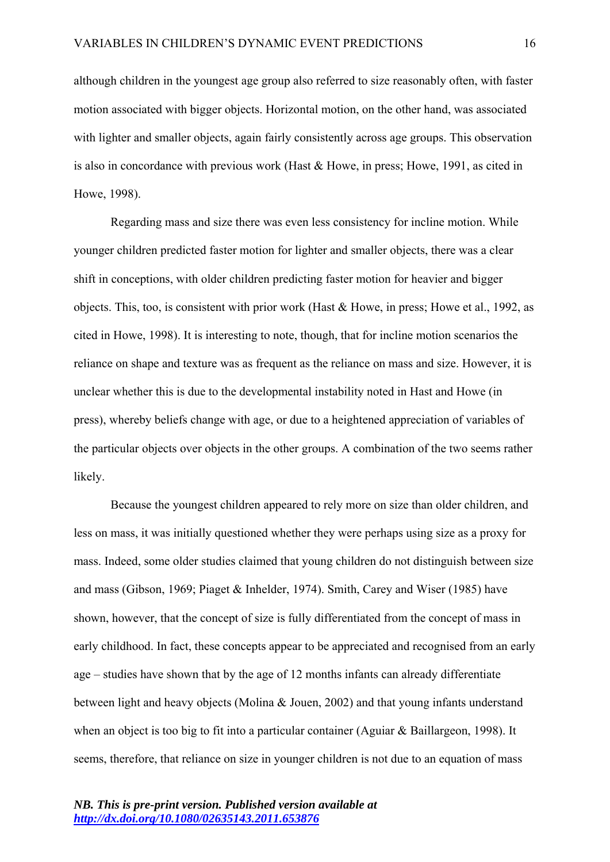although children in the youngest age group also referred to size reasonably often, with faster motion associated with bigger objects. Horizontal motion, on the other hand, was associated with lighter and smaller objects, again fairly consistently across age groups. This observation is also in concordance with previous work (Hast & Howe, in press; Howe, 1991, as cited in Howe, 1998).

Regarding mass and size there was even less consistency for incline motion. While younger children predicted faster motion for lighter and smaller objects, there was a clear shift in conceptions, with older children predicting faster motion for heavier and bigger objects. This, too, is consistent with prior work (Hast & Howe, in press; Howe et al., 1992, as cited in Howe, 1998). It is interesting to note, though, that for incline motion scenarios the reliance on shape and texture was as frequent as the reliance on mass and size. However, it is unclear whether this is due to the developmental instability noted in Hast and Howe (in press), whereby beliefs change with age, or due to a heightened appreciation of variables of the particular objects over objects in the other groups. A combination of the two seems rather likely.

Because the youngest children appeared to rely more on size than older children, and less on mass, it was initially questioned whether they were perhaps using size as a proxy for mass. Indeed, some older studies claimed that young children do not distinguish between size and mass (Gibson, 1969; Piaget & Inhelder, 1974). Smith, Carey and Wiser (1985) have shown, however, that the concept of size is fully differentiated from the concept of mass in early childhood. In fact, these concepts appear to be appreciated and recognised from an early age – studies have shown that by the age of 12 months infants can already differentiate between light and heavy objects (Molina & Jouen, 2002) and that young infants understand when an object is too big to fit into a particular container (Aguiar & Baillargeon, 1998). It seems, therefore, that reliance on size in younger children is not due to an equation of mass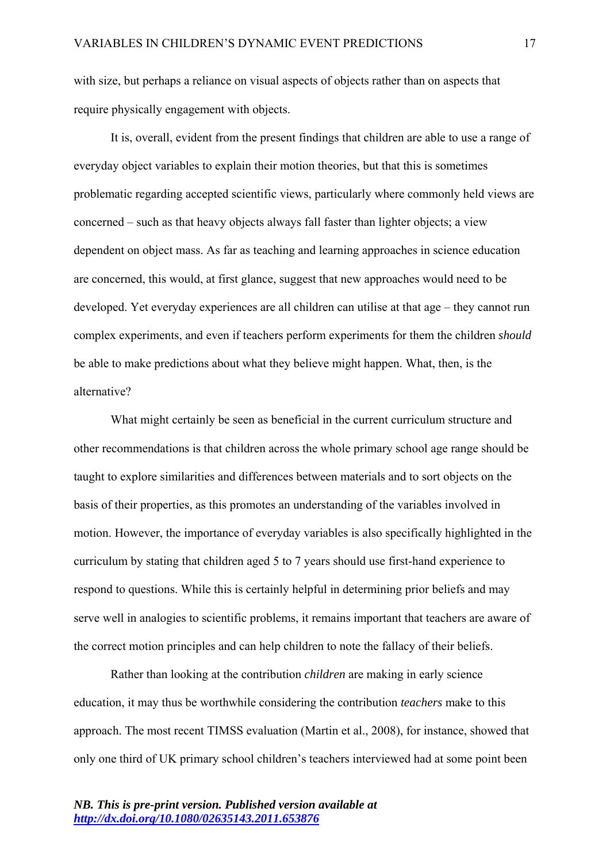with size, but perhaps a reliance on visual aspects of objects rather than on aspects that require physically engagement with objects.

It is, overall, evident from the present findings that children are able to use a range of everyday object variables to explain their motion theories, but that this is sometimes problematic regarding accepted scientific views, particularly where commonly held views are concerned – such as that heavy objects always fall faster than lighter objects; a view dependent on object mass. As far as teaching and learning approaches in science education are concerned, this would, at first glance, suggest that new approaches would need to be developed. Yet everyday experiences are all children can utilise at that age – they cannot run complex experiments, and even if teachers perform experiments for them the children *should* be able to make predictions about what they believe might happen. What, then, is the alternative?

What might certainly be seen as beneficial in the current curriculum structure and other recommendations is that children across the whole primary school age range should be taught to explore similarities and differences between materials and to sort objects on the basis of their properties, as this promotes an understanding of the variables involved in motion. However, the importance of everyday variables is also specifically highlighted in the curriculum by stating that children aged 5 to 7 years should use first-hand experience to respond to questions. While this is certainly helpful in determining prior beliefs and may serve well in analogies to scientific problems, it remains important that teachers are aware of the correct motion principles and can help children to note the fallacy of their beliefs.

Rather than looking at the contribution *children* are making in early science education, it may thus be worthwhile considering the contribution *teachers* make to this approach. The most recent TIMSS evaluation (Martin et al., 2008), for instance, showed that only one third of UK primary school children's teachers interviewed had at some point been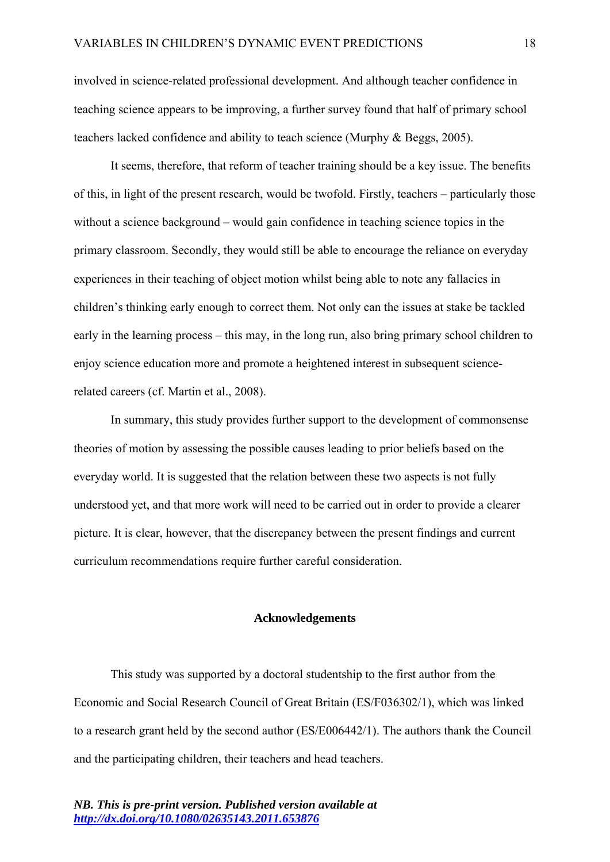involved in science-related professional development. And although teacher confidence in teaching science appears to be improving, a further survey found that half of primary school teachers lacked confidence and ability to teach science (Murphy & Beggs, 2005).

It seems, therefore, that reform of teacher training should be a key issue. The benefits of this, in light of the present research, would be twofold. Firstly, teachers – particularly those without a science background – would gain confidence in teaching science topics in the primary classroom. Secondly, they would still be able to encourage the reliance on everyday experiences in their teaching of object motion whilst being able to note any fallacies in children's thinking early enough to correct them. Not only can the issues at stake be tackled early in the learning process – this may, in the long run, also bring primary school children to enjoy science education more and promote a heightened interest in subsequent sciencerelated careers (cf. Martin et al., 2008).

In summary, this study provides further support to the development of commonsense theories of motion by assessing the possible causes leading to prior beliefs based on the everyday world. It is suggested that the relation between these two aspects is not fully understood yet, and that more work will need to be carried out in order to provide a clearer picture. It is clear, however, that the discrepancy between the present findings and current curriculum recommendations require further careful consideration.

## **Acknowledgements**

This study was supported by a doctoral studentship to the first author from the Economic and Social Research Council of Great Britain (ES/F036302/1), which was linked to a research grant held by the second author (ES/E006442/1). The authors thank the Council and the participating children, their teachers and head teachers.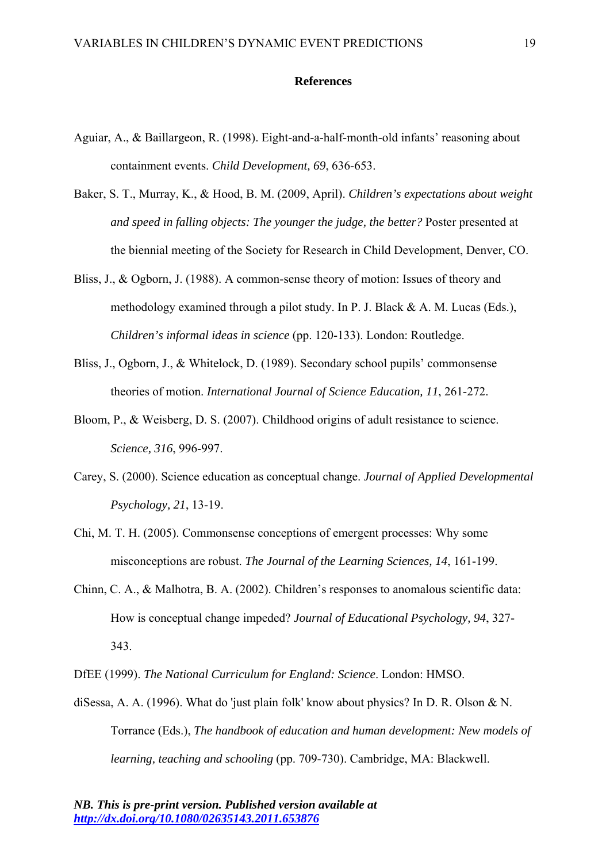#### **References**

- Aguiar, A., & Baillargeon, R. (1998). Eight-and-a-half-month-old infants' reasoning about containment events. *Child Development, 69*, 636-653.
- Baker, S. T., Murray, K., & Hood, B. M. (2009, April). *Children's expectations about weight and speed in falling objects: The younger the judge, the better?* Poster presented at the biennial meeting of the Society for Research in Child Development, Denver, CO.
- Bliss, J., & Ogborn, J. (1988). A common-sense theory of motion: Issues of theory and methodology examined through a pilot study. In P. J. Black & A. M. Lucas (Eds.), *Children's informal ideas in science* (pp. 120-133). London: Routledge.
- Bliss, J., Ogborn, J., & Whitelock, D. (1989). Secondary school pupils' commonsense theories of motion. *International Journal of Science Education, 11*, 261-272.
- Bloom, P., & Weisberg, D. S. (2007). Childhood origins of adult resistance to science. *Science, 316*, 996-997.
- Carey, S. (2000). Science education as conceptual change. *Journal of Applied Developmental Psychology, 21*, 13-19.
- Chi, M. T. H. (2005). Commonsense conceptions of emergent processes: Why some misconceptions are robust. *The Journal of the Learning Sciences, 14*, 161-199.
- Chinn, C. A., & Malhotra, B. A. (2002). Children's responses to anomalous scientific data: How is conceptual change impeded? *Journal of Educational Psychology, 94*, 327- 343.

DfEE (1999). *The National Curriculum for England: Science*. London: HMSO.

diSessa, A. A. (1996). What do 'just plain folk' know about physics? In D. R. Olson & N. Torrance (Eds.), *The handbook of education and human development: New models of learning, teaching and schooling* (pp. 709-730). Cambridge, MA: Blackwell.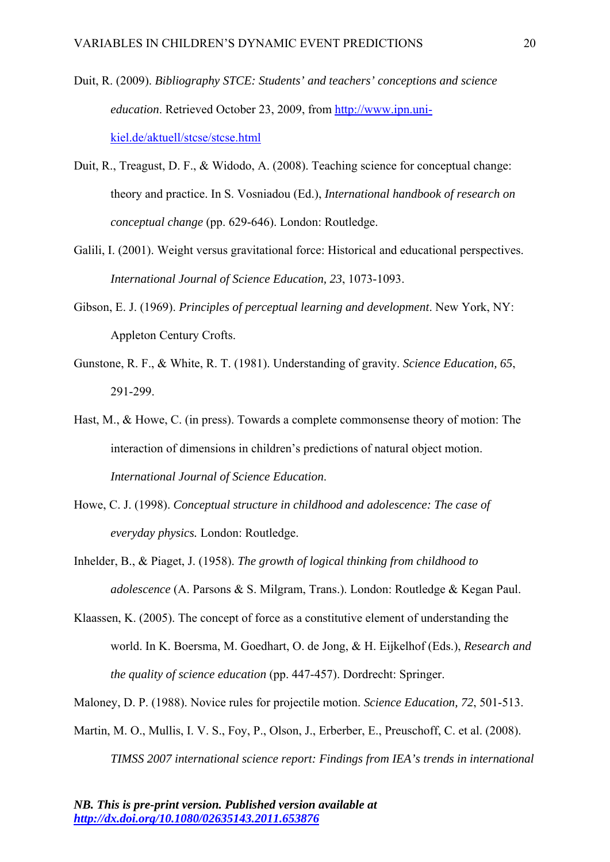- Duit, R. (2009). *Bibliography STCE: Students' and teachers' conceptions and science education*. Retrieved October 23, 2009, from http://www.ipn.unikiel.de/aktuell/stcse/stcse.html
- Duit, R., Treagust, D. F., & Widodo, A. (2008). Teaching science for conceptual change: theory and practice. In S. Vosniadou (Ed.), *International handbook of research on conceptual change* (pp. 629-646). London: Routledge.
- Galili, I. (2001). Weight versus gravitational force: Historical and educational perspectives. *International Journal of Science Education, 23*, 1073-1093.
- Gibson, E. J. (1969). *Principles of perceptual learning and development*. New York, NY: Appleton Century Crofts.
- Gunstone, R. F., & White, R. T. (1981). Understanding of gravity. *Science Education, 65*, 291-299.
- Hast, M., & Howe, C. (in press). Towards a complete commonsense theory of motion: The interaction of dimensions in children's predictions of natural object motion. *International Journal of Science Education*.
- Howe, C. J. (1998). *Conceptual structure in childhood and adolescence: The case of everyday physics.* London: Routledge.
- Inhelder, B., & Piaget, J. (1958). *The growth of logical thinking from childhood to adolescence* (A. Parsons & S. Milgram, Trans.). London: Routledge & Kegan Paul.
- Klaassen, K. (2005). The concept of force as a constitutive element of understanding the world. In K. Boersma, M. Goedhart, O. de Jong, & H. Eijkelhof (Eds.), *Research and the quality of science education* (pp. 447-457). Dordrecht: Springer.
- Maloney, D. P. (1988). Novice rules for projectile motion. *Science Education, 72*, 501-513.
- Martin, M. O., Mullis, I. V. S., Foy, P., Olson, J., Erberber, E., Preuschoff, C. et al. (2008). *TIMSS 2007 international science report: Findings from IEA's trends in international*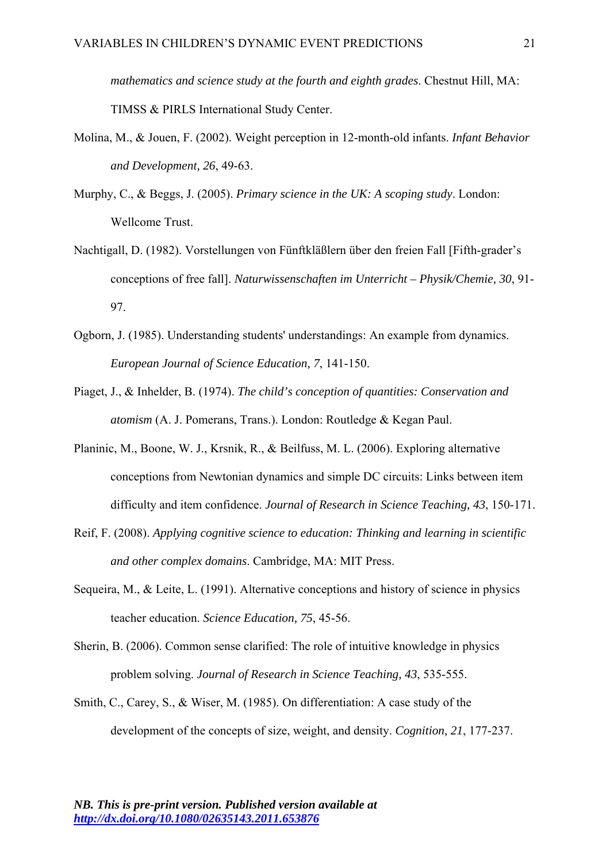*mathematics and science study at the fourth and eighth grades*. Chestnut Hill, MA: TIMSS & PIRLS International Study Center.

- Molina, M., & Jouen, F. (2002). Weight perception in 12-month-old infants. *Infant Behavior and Development, 26*, 49-63.
- Murphy, C., & Beggs, J. (2005). *Primary science in the UK: A scoping study*. London: Wellcome Trust.
- Nachtigall, D. (1982). Vorstellungen von Fünftkläßlern über den freien Fall [Fifth-grader's conceptions of free fall]. *Naturwissenschaften im Unterricht – Physik/Chemie, 30*, 91- 97.
- Ogborn, J. (1985). Understanding students' understandings: An example from dynamics. *European Journal of Science Education, 7*, 141-150.
- Piaget, J., & Inhelder, B. (1974). *The child's conception of quantities: Conservation and atomism* (A. J. Pomerans, Trans.). London: Routledge & Kegan Paul.
- Planinic, M., Boone, W. J., Krsnik, R., & Beilfuss, M. L. (2006). Exploring alternative conceptions from Newtonian dynamics and simple DC circuits: Links between item difficulty and item confidence. *Journal of Research in Science Teaching, 43*, 150-171.
- Reif, F. (2008). *Applying cognitive science to education: Thinking and learning in scientific and other complex domains*. Cambridge, MA: MIT Press.
- Sequeira, M., & Leite, L. (1991). Alternative conceptions and history of science in physics teacher education. *Science Education, 75*, 45-56.
- Sherin, B. (2006). Common sense clarified: The role of intuitive knowledge in physics problem solving. *Journal of Research in Science Teaching, 43*, 535-555.
- Smith, C., Carey, S., & Wiser, M. (1985). On differentiation: A case study of the development of the concepts of size, weight, and density. *Cognition, 21*, 177-237.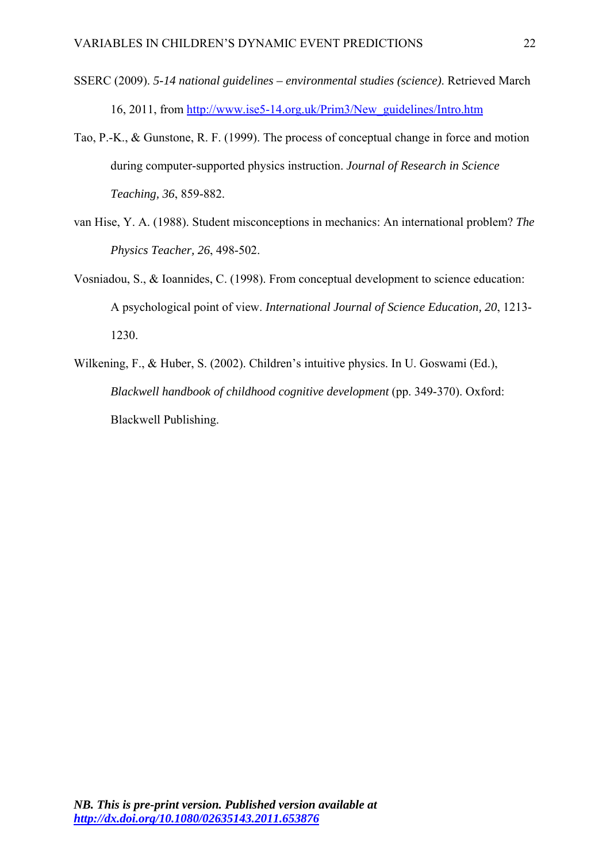- SSERC (2009). *5-14 national guidelines environmental studies (science)*. Retrieved March 16, 2011, from http://www.ise5-14.org.uk/Prim3/New\_guidelines/Intro.htm
- Tao, P.-K., & Gunstone, R. F. (1999). The process of conceptual change in force and motion during computer-supported physics instruction. *Journal of Research in Science Teaching, 36*, 859-882.
- van Hise, Y. A. (1988). Student misconceptions in mechanics: An international problem? *The Physics Teacher, 26*, 498-502.
- Vosniadou, S., & Ioannides, C. (1998). From conceptual development to science education: A psychological point of view. *International Journal of Science Education, 20*, 1213- 1230.
- Wilkening, F., & Huber, S. (2002). Children's intuitive physics. In U. Goswami (Ed.), *Blackwell handbook of childhood cognitive development* (pp. 349-370). Oxford: Blackwell Publishing.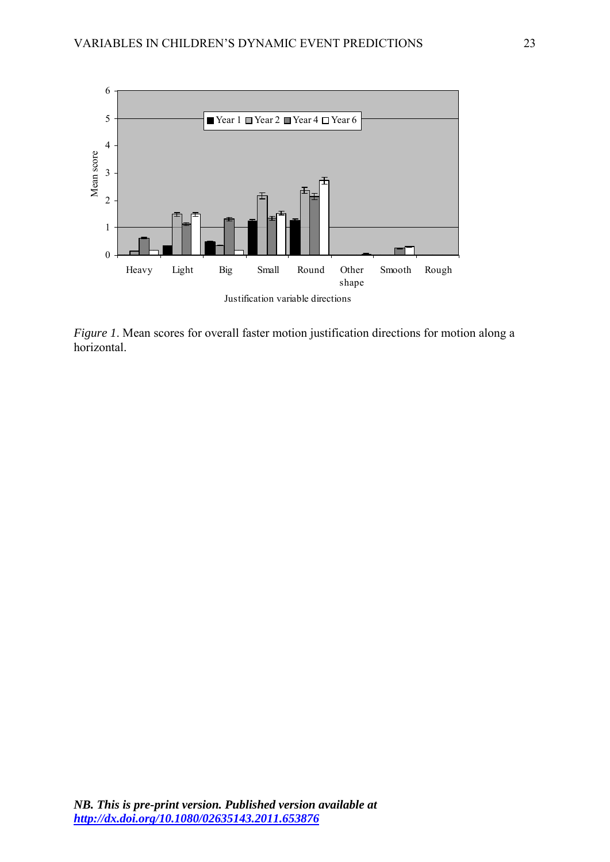

*Figure 1*. Mean scores for overall faster motion justification directions for motion along a horizontal.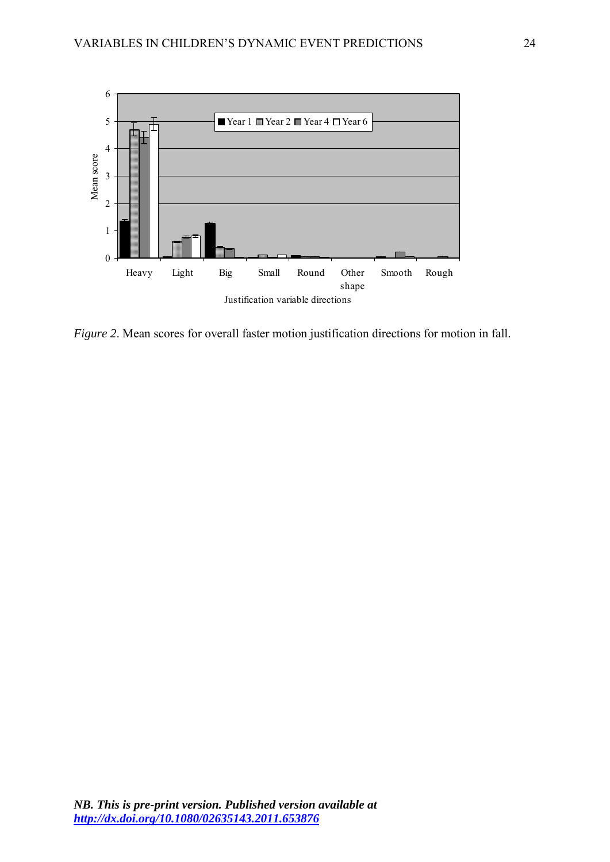

*Figure 2*. Mean scores for overall faster motion justification directions for motion in fall.